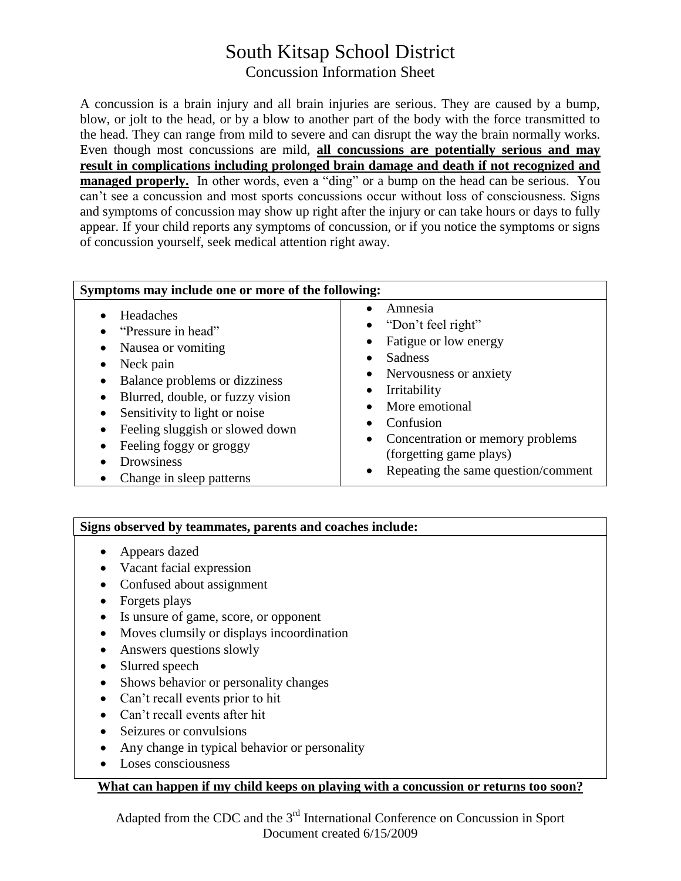# South Kitsap School District Concussion Information Sheet

A concussion is a brain injury and all brain injuries are serious. They are caused by a bump, blow, or jolt to the head, or by a blow to another part of the body with the force transmitted to the head. They can range from mild to severe and can disrupt the way the brain normally works. Even though most concussions are mild, **all concussions are potentially serious and may result in complications including prolonged brain damage and death if not recognized and managed properly.** In other words, even a "ding" or a bump on the head can be serious. You can't see a concussion and most sports concussions occur without loss of consciousness. Signs and symptoms of concussion may show up right after the injury or can take hours or days to fully appear. If your child reports any symptoms of concussion, or if you notice the symptoms or signs of concussion yourself, seek medical attention right away.

| Symptoms may include one or more of the following:                                                                                                                                                                                                                                                                                                                                         |                                                                                                                                                                                                                                                                                                                             |
|--------------------------------------------------------------------------------------------------------------------------------------------------------------------------------------------------------------------------------------------------------------------------------------------------------------------------------------------------------------------------------------------|-----------------------------------------------------------------------------------------------------------------------------------------------------------------------------------------------------------------------------------------------------------------------------------------------------------------------------|
| Headaches<br>$\bullet$<br>"Pressure in head"<br>$\bullet$<br>Nausea or vomiting<br>$\bullet$<br>Neck pain<br>$\bullet$<br>Balance problems or dizziness<br>٠<br>Blurred, double, or fuzzy vision<br>$\bullet$<br>Sensitivity to light or noise<br>٠<br>Feeling sluggish or slowed down<br>٠<br>Feeling foggy or groggy<br>$\bullet$<br>Drowsiness<br>Change in sleep patterns<br>$\bullet$ | Amnesia<br>"Don't feel right"<br>Fatigue or low energy<br>٠<br>Sadness<br>$\bullet$<br>Nervousness or anxiety<br>٠<br>Irritability<br>$\bullet$<br>More emotional<br>$\bullet$<br>Confusion<br>Concentration or memory problems<br>$\bullet$<br>(forgetting game plays)<br>Repeating the same question/comment<br>$\bullet$ |

#### **Signs observed by teammates, parents and coaches include:**

- Appears dazed
- Vacant facial expression
- Confused about assignment
- Forgets plays
- Is unsure of game, score, or opponent
- Moves clumsily or displays incoordination
- Answers questions slowly
- Slurred speech
- Shows behavior or personality changes
- Can't recall events prior to hit
- Can't recall events after hit
- Seizures or convulsions
- Any change in typical behavior or personality
- Loses consciousness

### **What can happen if my child keeps on playing with a concussion or returns too soon?**

Adapted from the CDC and the 3<sup>rd</sup> International Conference on Concussion in Sport Document created 6/15/2009